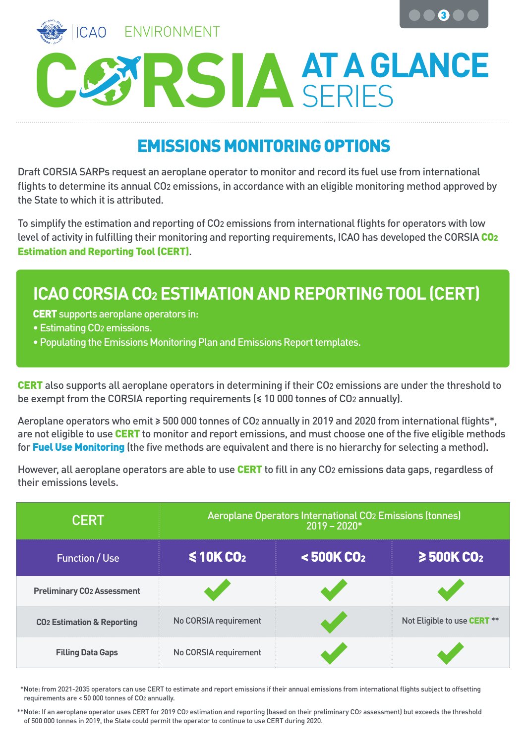



## **AT A GLANCE**

## EMISSIONS MONITORING OPTIONS

Draft CORSIA SARPs request an aeroplane operator to monitor and record its fuel use from international flights to determine its annual CO2 emissions, in accordance with an eligible monitoring method approved by the State to which it is attributed.

To simplify the estimation and reporting of CO2 emissions from international flights for operators with low level of activity in fulfilling their monitoring and reporting requirements, ICAO has developed the CORSIA CO2 Estimation and Reporting Tool (CERT).

## **ICAO CORSIA CO2 ESTIMATION AND REPORTING TOOL (CERT)**

CERT supports aeroplane operators in:

- Estimating CO2 emissions.
- Populating the Emissions Monitoring Plan and Emissions Report templates.

CERT also supports all aeroplane operators in determining if their CO2 emissions are under the threshold to be exempt from the CORSIA reporting requirements (≤ 10 000 tonnes of CO2 annually).

Aeroplane operators who emit ≥ 500 000 tonnes of CO2 annually in 2019 and 2020 from international flights\*, are not eligible to use CERT to monitor and report emissions, and must choose one of the five eligible methods for Fuel Use Monitoring (the five methods are equivalent and there is no hierarchy for selecting a method).

However, all aeroplane operators are able to use **CERT** to fill in any CO<sub>2</sub> emissions data gaps, regardless of their emissions levels.

| <b>CERT</b>                           | Aeroplane Operators International CO <sub>2</sub> Emissions (tonnes)<br>$2019 - 2020*$ |                             |                                    |
|---------------------------------------|----------------------------------------------------------------------------------------|-----------------------------|------------------------------------|
| <b>Function / Use</b>                 | \$10KCO <sub>2</sub>                                                                   | $\leq$ 500K CO <sub>2</sub> | $\geq$ 500K CO <sub>2</sub>        |
| <b>Preliminary CO2 Assessment</b>     |                                                                                        |                             |                                    |
| <b>CO2 Estimation &amp; Reporting</b> | No CORSIA requirement                                                                  |                             | Not Eligible to use <b>CERT</b> ** |
| <b>Filling Data Gaps</b>              | No CORSIA requirement                                                                  |                             |                                    |

 \*Note: from 2021-2035 operators can use CERT to estimate and report emissions if their annual emissions from international flights subject to offsetting requirements are < 50 000 tonnes of CO2 annually.

 \*\*Note: If an aeroplane operator uses CERT for 2019 CO2 estimation and reporting (based on their preliminary CO2 assessment) but exceeds the threshold of 500 000 tonnes in 2019, the State could permit the operator to continue to use CERT during 2020.